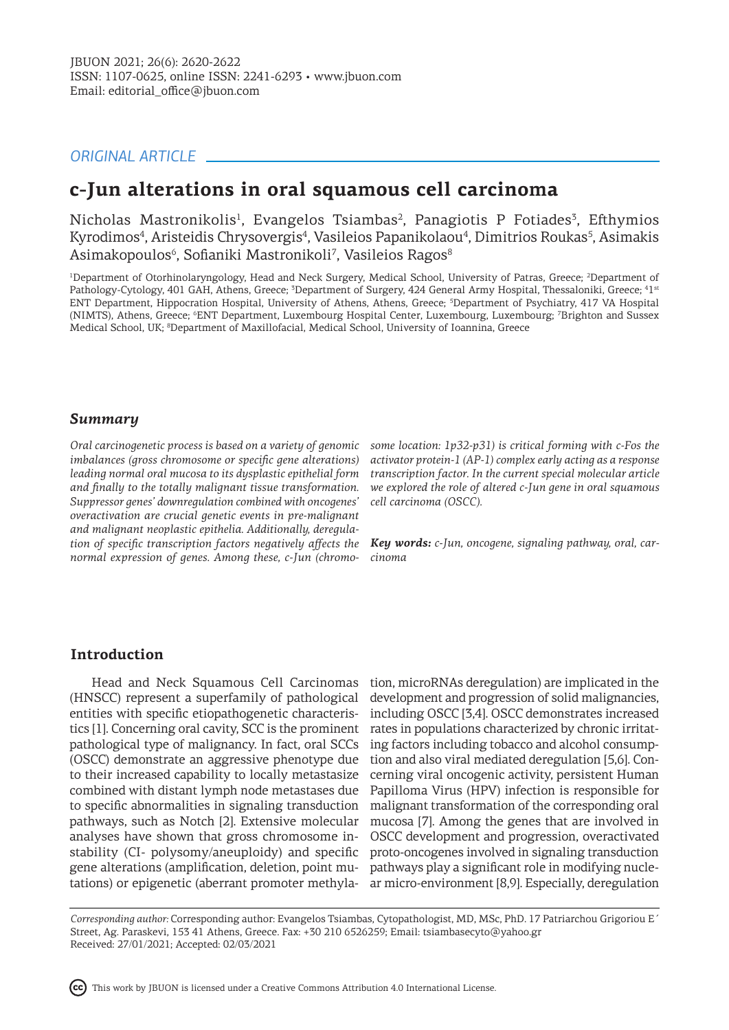## *ORIGINAL ARTICLE*

## **c-Jun alterations in oral squamous cell carcinoma**

Nicholas Mastronikolis<sup>1</sup>, Evangelos Tsiambas<sup>2</sup>, Panagiotis P Fotiades<sup>3</sup>, Efthymios Kyrodimos<sup>4</sup>, Aristeidis Chrysovergis<sup>4</sup>, Vasileios Papanikolaou<sup>4</sup>, Dimitrios Roukas<sup>5</sup>, Asimakis Asimakopoulos<sup>6</sup>, Sofianiki Mastronikoli<sup>7</sup>, Vasileios Ragos<sup>8</sup>

<sup>1</sup>Department of Otorhinolaryngology, Head and Neck Surgery, Medical School, University of Patras, Greece; <sup>2</sup>Department of Pathology-Cytology, 401 GAH, Athens, Greece; <sup>3</sup>Department of Surgery, 424 General Army Hospital, Thessaloniki, Greece; <sup>4</sup>1st ENT Department, Hippocration Hospital, University of Athens, Athens, Greece; <sup>5</sup>Department of Psychiatry, 417 VA Hospital (NIMTS), Athens, Greece; <sup>6</sup> ENT Department, Luxembourg Hospital Center, Luxembourg, Luxembourg; <sup>7</sup> Brighton and Sussex Medical School, UK; <sup>8</sup>Department of Maxillofacial, Medical School, University of Ioannina, Greece

## *Summary*

*Oral carcinogenetic process is based on a variety of genomic imbalances (gross chromosome or specific gene alterations) leading normal oral mucosa to its dysplastic epithelial form and finally to the totally malignant tissue transformation. Suppressor genes' downregulation combined with oncogenes' overactivation are crucial genetic events in pre-malignant and malignant neoplastic epithelia. Additionally, deregulation of specific transcription factors negatively affects the normal expression of genes. Among these, c-Jun (chromo-*

*some location: 1p32-p31) is critical forming with c-Fos the activator protein-1 (AP-1) complex early acting as a response transcription factor. In the current special molecular article we explored the role of altered c-Jun gene in oral squamous cell carcinoma (OSCC).*

*Key words: c-Jun, oncogene, signaling pathway, oral, carcinoma*

## **Introduction**

Head and Neck Squamous Cell Carcinomas (HNSCC) represent a superfamily of pathological entities with specific etiopathogenetic characteristics [1]. Concerning oral cavity, SCC is the prominent pathological type of malignancy. In fact, oral SCCs (OSCC) demonstrate an aggressive phenotype due to their increased capability to locally metastasize combined with distant lymph node metastases due to specific abnormalities in signaling transduction pathways, such as Notch [2]. Extensive molecular analyses have shown that gross chromosome instability (CI- polysomy/aneuploidy) and specific gene alterations (amplification, deletion, point mutations) or epigenetic (aberrant promoter methyla-

tion, microRNAs deregulation) are implicated in the development and progression of solid malignancies, including OSCC [3,4]. OSCC demonstrates increased rates in populations characterized by chronic irritating factors including tobacco and alcohol consumption and also viral mediated deregulation [5,6]. Concerning viral oncogenic activity, persistent Human Papilloma Virus (HPV) infection is responsible for malignant transformation of the corresponding oral mucosa [7]. Among the genes that are involved in OSCC development and progression, overactivated proto-oncogenes involved in signaling transduction pathways play a significant role in modifying nuclear micro-environment [8,9]. Especially, deregulation

*Corresponding author:* Corresponding author: Evangelos Tsiambas, Cytopathologist, MD, MSc, PhD. 17 Patriarchou Grigoriou E΄ Street, Ag. Paraskevi, 153 41 Athens, Greece. Fax: +30 210 6526259; Email: tsiambasecyto@yahoo.gr Received: 27/01/2021; Accepted: 02/03/2021

This work by JBUON is licensed under a Creative Commons Attribution 4.0 International License.